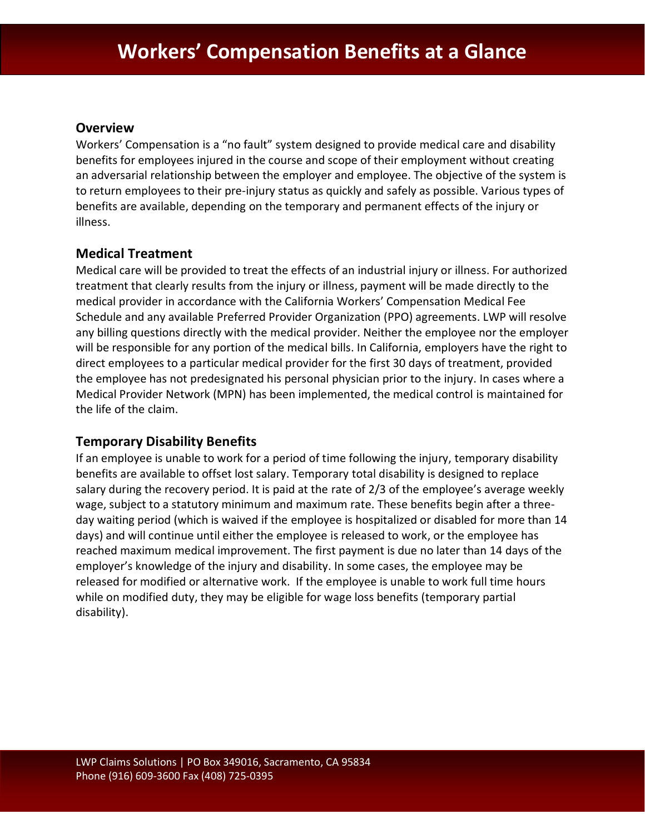## **Overview**

Workers' Compensation is a "no fault" system designed to provide medical care and disability benefits for employees injured in the course and scope of their employment without creating an adversarial relationship between the employer and employee. The objective of the system is to return employees to their pre-injury status as quickly and safely as possible. Various types of benefits are available, depending on the temporary and permanent effects of the injury or illness.

## **Medical Treatment**

Medical care will be provided to treat the effects of an industrial injury or illness. For authorized treatment that clearly results from the injury or illness, payment will be made directly to the medical provider in accordance with the California Workers' Compensation Medical Fee Schedule and any available Preferred Provider Organization (PPO) agreements. LWP will resolve any billing questions directly with the medical provider. Neither the employee nor the employer will be responsible for any portion of the medical bills. In California, employers have the right to direct employees to a particular medical provider for the first 30 days of treatment, provided the employee has not predesignated his personal physician prior to the injury. In cases where a Medical Provider Network (MPN) has been implemented, the medical control is maintained for the life of the claim.

## **Temporary Disability Benefits**

If an employee is unable to work for a period of time following the injury, temporary disability benefits are available to offset lost salary. Temporary total disability is designed to replace salary during the recovery period. It is paid at the rate of 2/3 of the employee's average weekly wage, subject to a statutory minimum and maximum rate. These benefits begin after a threeday waiting period (which is waived if the employee is hospitalized or disabled for more than 14 days) and will continue until either the employee is released to work, or the employee has reached maximum medical improvement. The first payment is due no later than 14 days of the employer's knowledge of the injury and disability. In some cases, the employee may be released for modified or alternative work. If the employee is unable to work full time hours while on modified duty, they may be eligible for wage loss benefits (temporary partial disability).